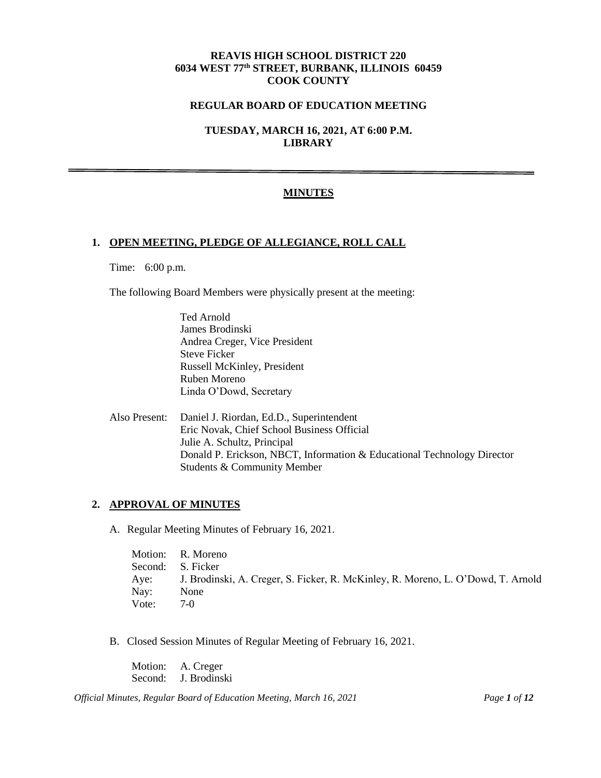## **REAVIS HIGH SCHOOL DISTRICT 220 6034 WEST 77th STREET, BURBANK, ILLINOIS 60459 COOK COUNTY**

### **REGULAR BOARD OF EDUCATION MEETING**

**TUESDAY, MARCH 16, 2021, AT 6:00 P.M. LIBRARY**

## **MINUTES**

### **1. OPEN MEETING, PLEDGE OF ALLEGIANCE, ROLL CALL**

Time: 6:00 p.m.

The following Board Members were physically present at the meeting:

Ted Arnold James Brodinski Andrea Creger, Vice President Steve Ficker Russell McKinley, President Ruben Moreno Linda O'Dowd, Secretary

Also Present: Daniel J. Riordan, Ed.D., Superintendent Eric Novak, Chief School Business Official Julie A. Schultz, Principal Donald P. Erickson, NBCT, Information & Educational Technology Director Students & Community Member

### **2. APPROVAL OF MINUTES**

A. Regular Meeting Minutes of February 16, 2021.

|        | Motion: R. Moreno                                                                     |
|--------|---------------------------------------------------------------------------------------|
|        | Second: S. Ficker                                                                     |
|        | Aye: J. Brodinski, A. Creger, S. Ficker, R. McKinley, R. Moreno, L. O'Dowd, T. Arnold |
| Nav: \ | None                                                                                  |
| Vote:  | 7-Q                                                                                   |

B. Closed Session Minutes of Regular Meeting of February 16, 2021.

Motion: A. Creger Second: J. Brodinski

*Official Minutes, Regular Board of Education Meeting, March 16, 2021 Page 1 of 12*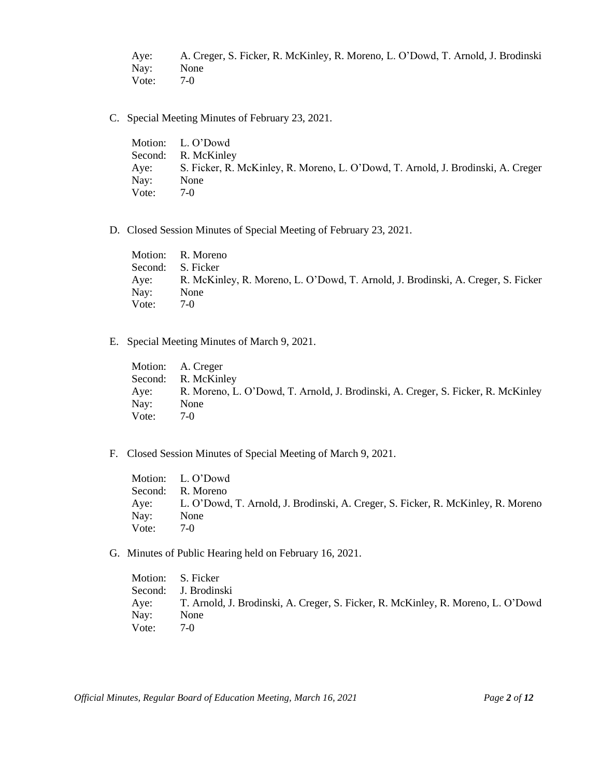Aye: A. Creger, S. Ficker, R. McKinley, R. Moreno, L. O'Dowd, T. Arnold, J. Brodinski Nay: None Vote: 7-0

C. Special Meeting Minutes of February 23, 2021.

Motion: L. O'Dowd Second: R. McKinley Aye: S. Ficker, R. McKinley, R. Moreno, L. O'Dowd, T. Arnold, J. Brodinski, A. Creger Nay: None Vote: 7-0

D. Closed Session Minutes of Special Meeting of February 23, 2021.

Motion: R. Moreno Second: S. Ficker Aye: R. McKinley, R. Moreno, L. O'Dowd, T. Arnold, J. Brodinski, A. Creger, S. Ficker Nay: None Vote: 7-0

E. Special Meeting Minutes of March 9, 2021.

Motion: A. Creger Second: R. McKinley Aye: R. Moreno, L. O'Dowd, T. Arnold, J. Brodinski, A. Creger, S. Ficker, R. McKinley Nay: None Vote: 7-0

F. Closed Session Minutes of Special Meeting of March 9, 2021.

Motion: L. O'Dowd Second: R. Moreno Aye: L. O'Dowd, T. Arnold, J. Brodinski, A. Creger, S. Ficker, R. McKinley, R. Moreno Nay: None Vote: 7-0

G. Minutes of Public Hearing held on February 16, 2021.

Motion: S. Ficker Second: J. Brodinski Aye: T. Arnold, J. Brodinski, A. Creger, S. Ficker, R. McKinley, R. Moreno, L. O'Dowd Nay: None Vote: 7-0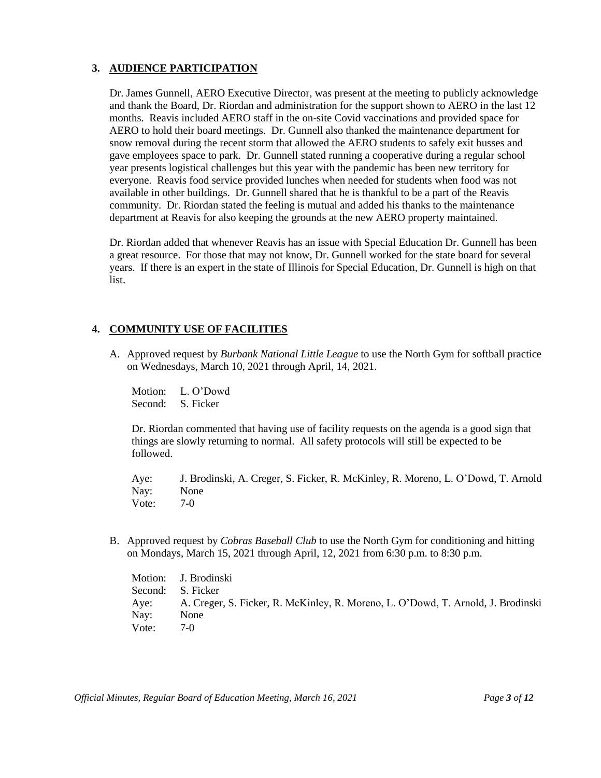# **3. AUDIENCE PARTICIPATION**

Dr. James Gunnell, AERO Executive Director, was present at the meeting to publicly acknowledge and thank the Board, Dr. Riordan and administration for the support shown to AERO in the last 12 months. Reavis included AERO staff in the on-site Covid vaccinations and provided space for AERO to hold their board meetings. Dr. Gunnell also thanked the maintenance department for snow removal during the recent storm that allowed the AERO students to safely exit busses and gave employees space to park. Dr. Gunnell stated running a cooperative during a regular school year presents logistical challenges but this year with the pandemic has been new territory for everyone. Reavis food service provided lunches when needed for students when food was not available in other buildings. Dr. Gunnell shared that he is thankful to be a part of the Reavis community. Dr. Riordan stated the feeling is mutual and added his thanks to the maintenance department at Reavis for also keeping the grounds at the new AERO property maintained.

Dr. Riordan added that whenever Reavis has an issue with Special Education Dr. Gunnell has been a great resource. For those that may not know, Dr. Gunnell worked for the state board for several years. If there is an expert in the state of Illinois for Special Education, Dr. Gunnell is high on that list.

# **4. COMMUNITY USE OF FACILITIES**

A. Approved request by *Burbank National Little League* to use the North Gym for softball practice on Wednesdays, March 10, 2021 through April, 14, 2021.

Motion: L. O'Dowd Second: S. Ficker

Dr. Riordan commented that having use of facility requests on the agenda is a good sign that things are slowly returning to normal. All safety protocols will still be expected to be followed.

Aye: J. Brodinski, A. Creger, S. Ficker, R. McKinley, R. Moreno, L. O'Dowd, T. Arnold Nay: None Vote: 7-0

B. Approved request by *Cobras Baseball Club* to use the North Gym for conditioning and hitting on Mondays, March 15, 2021 through April, 12, 2021 from 6:30 p.m. to 8:30 p.m.

Motion: J. Brodinski Second: S. Ficker Aye: A. Creger, S. Ficker, R. McKinley, R. Moreno, L. O'Dowd, T. Arnold, J. Brodinski Nay: None Vote: 7-0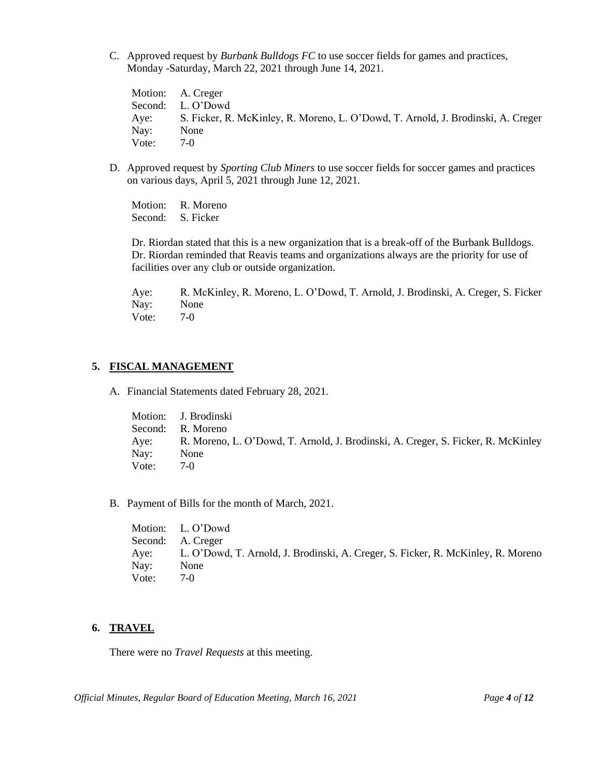C. Approved request by *Burbank Bulldogs FC* to use soccer fields for games and practices, Monday -Saturday, March 22, 2021 through June 14, 2021.

Motion: A. Creger Second: L. O'Dowd Aye: S. Ficker, R. McKinley, R. Moreno, L. O'Dowd, T. Arnold, J. Brodinski, A. Creger Nay: None Vote: 7-0

D. Approved request by *Sporting Club Miners* to use soccer fields for soccer games and practices on various days, April 5, 2021 through June 12, 2021.

Motion: R. Moreno Second: S. Ficker

Dr. Riordan stated that this is a new organization that is a break-off of the Burbank Bulldogs. Dr. Riordan reminded that Reavis teams and organizations always are the priority for use of facilities over any club or outside organization.

Aye: R. McKinley, R. Moreno, L. O'Dowd, T. Arnold, J. Brodinski, A. Creger, S. Ficker Nay: None Vote: 7-0

## **5. FISCAL MANAGEMENT**

A. Financial Statements dated February 28, 2021.

Motion: J. Brodinski Second: R. Moreno Aye: R. Moreno, L. O'Dowd, T. Arnold, J. Brodinski, A. Creger, S. Ficker, R. McKinley Nay: None Vote: 7-0

B. Payment of Bills for the month of March, 2021.

Motion: L. O'Dowd Second: A. Creger Aye: L. O'Dowd, T. Arnold, J. Brodinski, A. Creger, S. Ficker, R. McKinley, R. Moreno Nay: None Vote: 7-0

## **6. TRAVEL**

There were no *Travel Requests* at this meeting.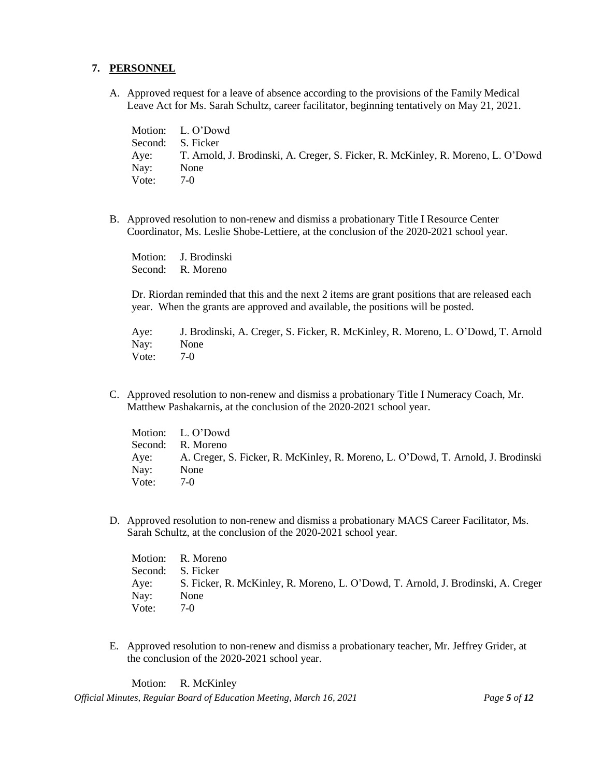#### **7. PERSONNEL**

A. Approved request for a leave of absence according to the provisions of the Family Medical Leave Act for Ms. Sarah Schultz, career facilitator, beginning tentatively on May 21, 2021.

Motion: L. O'Dowd Second: S. Ficker Aye: T. Arnold, J. Brodinski, A. Creger, S. Ficker, R. McKinley, R. Moreno, L. O'Dowd Nay: None Vote: 7-0

B. Approved resolution to non-renew and dismiss a probationary Title I Resource Center Coordinator, Ms. Leslie Shobe-Lettiere, at the conclusion of the 2020-2021 school year.

Motion: J. Brodinski Second: R. Moreno

Dr. Riordan reminded that this and the next 2 items are grant positions that are released each year. When the grants are approved and available, the positions will be posted.

Aye: J. Brodinski, A. Creger, S. Ficker, R. McKinley, R. Moreno, L. O'Dowd, T. Arnold Nay: None Vote: 7-0

C. Approved resolution to non-renew and dismiss a probationary Title I Numeracy Coach, Mr. Matthew Pashakarnis, at the conclusion of the 2020-2021 school year.

|       | Motion: L. O'Dowd                                                                     |
|-------|---------------------------------------------------------------------------------------|
|       | Second: R. Moreno                                                                     |
|       | Aye: A. Creger, S. Ficker, R. McKinley, R. Moreno, L. O'Dowd, T. Arnold, J. Brodinski |
| Nay:  | None                                                                                  |
| Vote: | $7-0$                                                                                 |

D. Approved resolution to non-renew and dismiss a probationary MACS Career Facilitator, Ms. Sarah Schultz, at the conclusion of the 2020-2021 school year.

Motion: R. Moreno Second: S. Ficker Aye: S. Ficker, R. McKinley, R. Moreno, L. O'Dowd, T. Arnold, J. Brodinski, A. Creger Nay: None Vote: 7-0

E. Approved resolution to non-renew and dismiss a probationary teacher, Mr. Jeffrey Grider, at the conclusion of the 2020-2021 school year.

Motion: R. McKinley

*Official Minutes, Regular Board of Education Meeting, March 16, 2021 Page 5 of 12*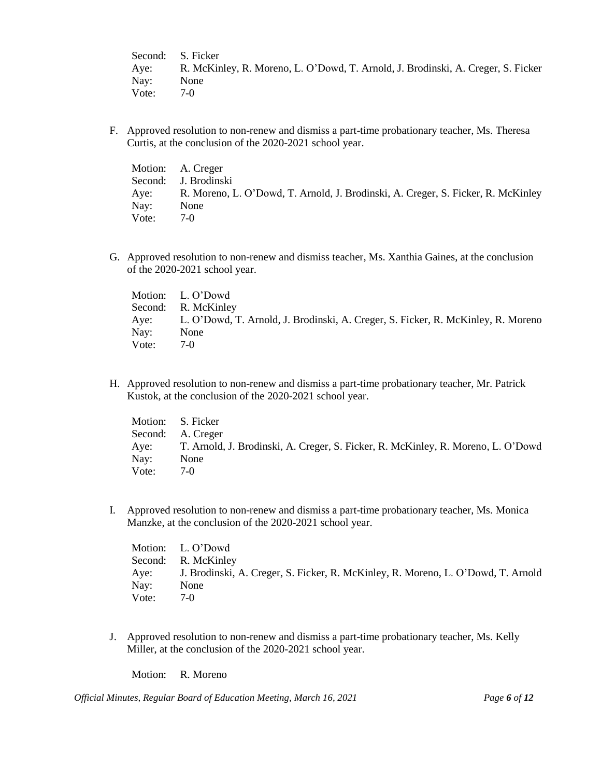Second: S. Ficker Aye: R. McKinley, R. Moreno, L. O'Dowd, T. Arnold, J. Brodinski, A. Creger, S. Ficker Nay: None<br>Vote: 7-0 Vote:

F. Approved resolution to non-renew and dismiss a part-time probationary teacher, Ms. Theresa Curtis, at the conclusion of the 2020-2021 school year.

|       | Motion: A. Creger                                                                     |
|-------|---------------------------------------------------------------------------------------|
|       | Second: J. Brodinski                                                                  |
|       | Aye: R. Moreno, L. O'Dowd, T. Arnold, J. Brodinski, A. Creger, S. Ficker, R. McKinley |
| Nay:  | None                                                                                  |
| Vote: | $7-0$                                                                                 |

G. Approved resolution to non-renew and dismiss teacher, Ms. Xanthia Gaines, at the conclusion of the 2020-2021 school year.

|       | Motion: L. O'Dowd                                                                     |
|-------|---------------------------------------------------------------------------------------|
|       | Second: R. McKinley                                                                   |
|       | Aye: L. O'Dowd, T. Arnold, J. Brodinski, A. Creger, S. Ficker, R. McKinley, R. Moreno |
| Nay:  | None                                                                                  |
| Vote: | $7-0$                                                                                 |

H. Approved resolution to non-renew and dismiss a part-time probationary teacher, Mr. Patrick Kustok, at the conclusion of the 2020-2021 school year.

| Motion: S. Ficker |                                                                                  |
|-------------------|----------------------------------------------------------------------------------|
|                   | Second: A. Creger                                                                |
| Aye:              | T. Arnold, J. Brodinski, A. Creger, S. Ficker, R. McKinley, R. Moreno, L. O'Dowd |
| Nay:              | None                                                                             |
| Vote:             | $7-0$                                                                            |

I. Approved resolution to non-renew and dismiss a part-time probationary teacher, Ms. Monica Manzke, at the conclusion of the 2020-2021 school year.

|       | Motion: L. O'Dowd                                                                     |
|-------|---------------------------------------------------------------------------------------|
|       | Second: R. McKinley                                                                   |
|       | Aye: J. Brodinski, A. Creger, S. Ficker, R. McKinley, R. Moreno, L. O'Dowd, T. Arnold |
| Nay:  | None                                                                                  |
| Vote: | $7-0$                                                                                 |

J. Approved resolution to non-renew and dismiss a part-time probationary teacher, Ms. Kelly Miller, at the conclusion of the 2020-2021 school year.

Motion: R. Moreno

*Official Minutes, Regular Board of Education Meeting, March 16, 2021 Page 6 of 12*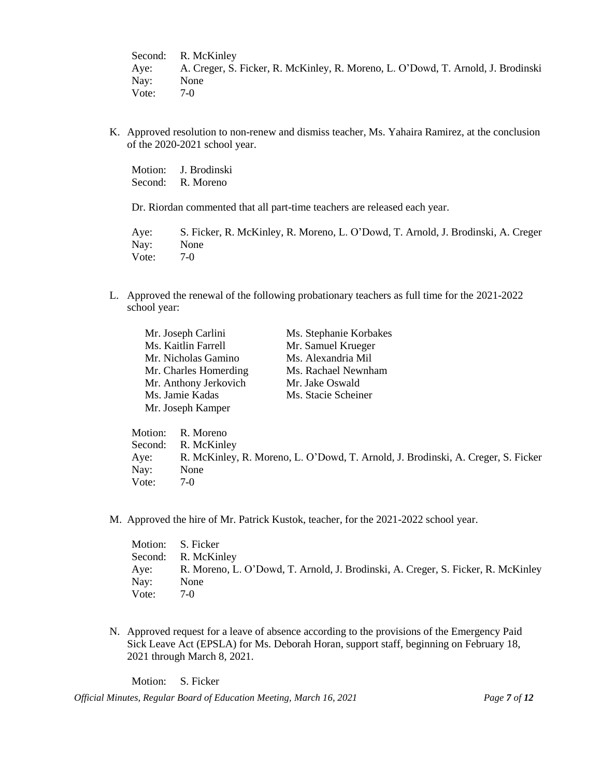Second: R. McKinley Aye: A. Creger, S. Ficker, R. McKinley, R. Moreno, L. O'Dowd, T. Arnold, J. Brodinski Nay: None Vote: 7-0

K. Approved resolution to non-renew and dismiss teacher, Ms. Yahaira Ramirez, at the conclusion of the 2020-2021 school year.

Motion: J. Brodinski Second: R. Moreno

Dr. Riordan commented that all part-time teachers are released each year.

Aye: S. Ficker, R. McKinley, R. Moreno, L. O'Dowd, T. Arnold, J. Brodinski, A. Creger Nay: None Vote: 7-0

L. Approved the renewal of the following probationary teachers as full time for the 2021-2022 school year:

| Mr. Joseph Carlini    | Ms. Stephanie Korbakes |
|-----------------------|------------------------|
| Ms. Kaitlin Farrell   | Mr. Samuel Krueger     |
| Mr. Nicholas Gamino   | Ms. Alexandria Mil     |
| Mr. Charles Homerding | Ms. Rachael Newnham    |
| Mr. Anthony Jerkovich | Mr. Jake Oswald        |
| Ms. Jamie Kadas       | Ms. Stacie Scheiner    |
| Mr. Joseph Kamper     |                        |

Motion: R. Moreno Second: R. McKinley Aye: R. McKinley, R. Moreno, L. O'Dowd, T. Arnold, J. Brodinski, A. Creger, S. Ficker Nay: None<br>Vote: 7-0 Vote:

M. Approved the hire of Mr. Patrick Kustok, teacher, for the 2021-2022 school year.

| Motion: S. Ficker |                                                                                  |
|-------------------|----------------------------------------------------------------------------------|
|                   | Second: R. McKinley                                                              |
| Aye:              | R. Moreno, L. O'Dowd, T. Arnold, J. Brodinski, A. Creger, S. Ficker, R. McKinley |
| Nay:              | None                                                                             |
| Vote:             | $7-0$                                                                            |

N. Approved request for a leave of absence according to the provisions of the Emergency Paid Sick Leave Act (EPSLA) for Ms. Deborah Horan, support staff, beginning on February 18, 2021 through March 8, 2021.

Motion: S. Ficker

*Official Minutes, Regular Board of Education Meeting, March 16, 2021 Page 7 of 12*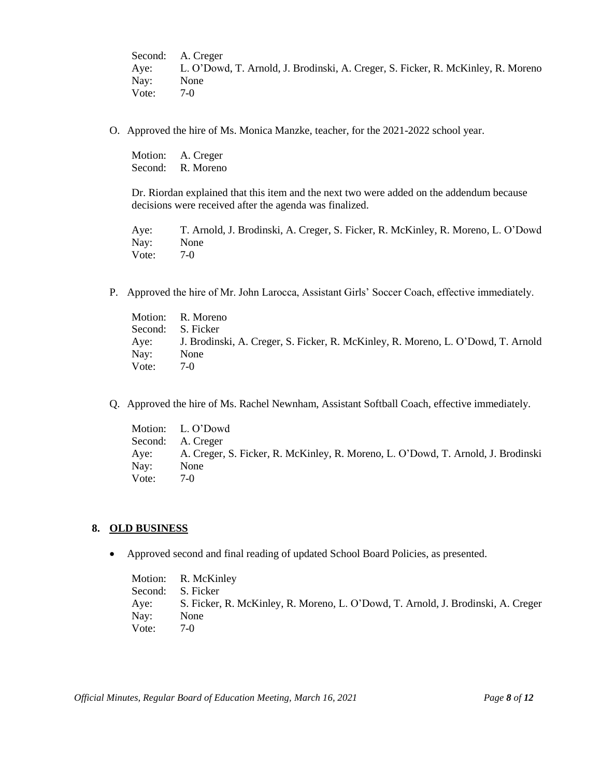Second: A. Creger Aye: L. O'Dowd, T. Arnold, J. Brodinski, A. Creger, S. Ficker, R. McKinley, R. Moreno Nay: None Vote: 7-0

O. Approved the hire of Ms. Monica Manzke, teacher, for the 2021-2022 school year.

Motion: A. Creger Second: R. Moreno

Dr. Riordan explained that this item and the next two were added on the addendum because decisions were received after the agenda was finalized.

Aye: T. Arnold, J. Brodinski, A. Creger, S. Ficker, R. McKinley, R. Moreno, L. O'Dowd Nay: None Vote: 7-0

P. Approved the hire of Mr. John Larocca, Assistant Girls' Soccer Coach, effective immediately.

|                   | Motion: R. Moreno                                                                     |
|-------------------|---------------------------------------------------------------------------------------|
| Second: S. Ficker |                                                                                       |
|                   | Aye: J. Brodinski, A. Creger, S. Ficker, R. McKinley, R. Moreno, L. O'Dowd, T. Arnold |
| Nay:              | None                                                                                  |
| Vote:             | 7-0                                                                                   |

Q. Approved the hire of Ms. Rachel Newnham, Assistant Softball Coach, effective immediately.

Motion: L. O'Dowd Second: A. Creger Aye: A. Creger, S. Ficker, R. McKinley, R. Moreno, L. O'Dowd, T. Arnold, J. Brodinski Nay: None Vote: 7-0

#### **8. OLD BUSINESS**

• Approved second and final reading of updated School Board Policies, as presented.

Motion: R. McKinley Second: S. Ficker Aye: S. Ficker, R. McKinley, R. Moreno, L. O'Dowd, T. Arnold, J. Brodinski, A. Creger Nay: None Vote: 7-0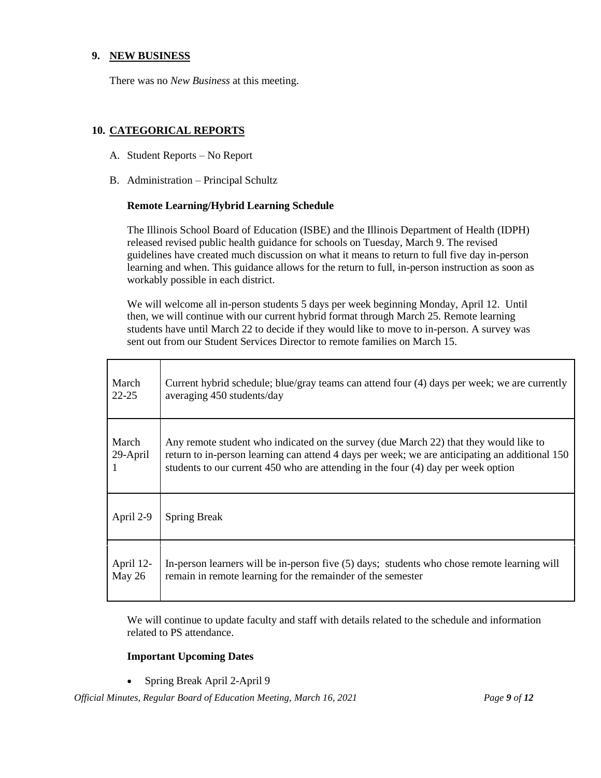## **9. NEW BUSINESS**

There was no *New Business* at this meeting.

## **10. CATEGORICAL REPORTS**

- A. Student Reports No Report
- B. Administration Principal Schultz

### **Remote Learning/Hybrid Learning Schedule**

The Illinois School Board of Education (ISBE) and the Illinois Department of Health (IDPH) released revised public health guidance for schools on Tuesday, March 9. The revised guidelines have created much discussion on what it means to return to full five day in-person learning and when. This guidance allows for the return to full, in-person instruction as soon as workably possible in each district.

We will welcome all in-person students 5 days per week beginning Monday, April 12. Until then, we will continue with our current hybrid format through March 25. Remote learning students have until March 22 to decide if they would like to move to in-person. A survey was sent out from our Student Services Director to remote families on March 15.

| March             | Current hybrid schedule; blue/gray teams can attend four (4) days per week; we are currently                                                                                                                                                                                 |
|-------------------|------------------------------------------------------------------------------------------------------------------------------------------------------------------------------------------------------------------------------------------------------------------------------|
| $22 - 25$         | averaging 450 students/day                                                                                                                                                                                                                                                   |
| March<br>29-April | Any remote student who indicated on the survey (due March 22) that they would like to<br>return to in-person learning can attend 4 days per week; we are anticipating an additional 150<br>students to our current 450 who are attending in the four (4) day per week option |
| April 2-9         | <b>Spring Break</b>                                                                                                                                                                                                                                                          |
| April 12-         | In-person learners will be in-person five (5) days; students who chose remote learning will                                                                                                                                                                                  |
| May 26            | remain in remote learning for the remainder of the semester                                                                                                                                                                                                                  |

We will continue to update faculty and staff with details related to the schedule and information related to PS attendance.

## **Important Upcoming Dates**

• Spring Break April 2-April 9

*Official Minutes, Regular Board of Education Meeting, March 16, 2021 Page 9 of 12*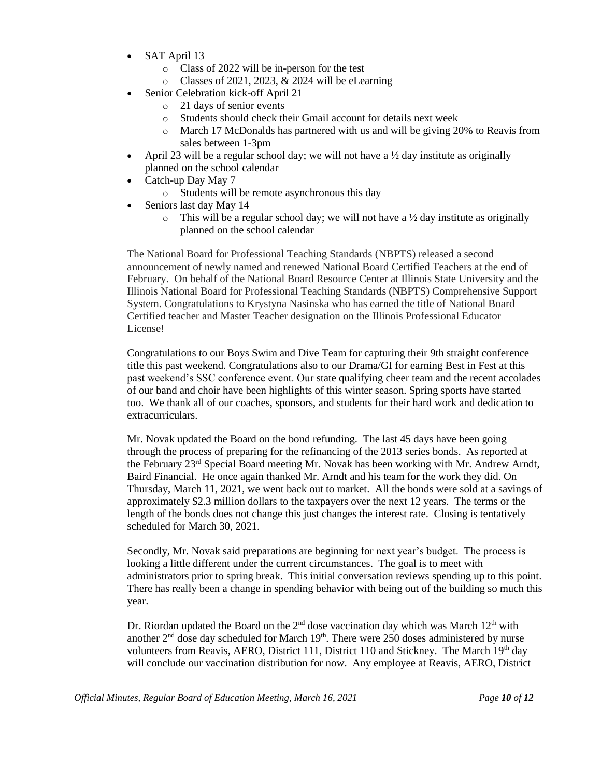- SAT April 13
	- o Class of 2022 will be in-person for the test
	- o Classes of 2021, 2023, & 2024 will be eLearning
	- Senior Celebration kick-off April 21
		- o 21 days of senior events
		- o Students should check their Gmail account for details next week
		- o March 17 McDonalds has partnered with us and will be giving 20% to Reavis from sales between 1-3pm
- April 23 will be a regular school day; we will not have a  $\frac{1}{2}$  day institute as originally planned on the school calendar
- Catch-up Day May 7
	- o Students will be remote asynchronous this day
- Seniors last day May 14
	- $\circ$  This will be a regular school day; we will not have a ½ day institute as originally planned on the school calendar

The National Board for Professional Teaching Standards (NBPTS) released a second announcement of newly named and renewed National Board Certified Teachers at the end of February. On behalf of the National Board Resource Center at Illinois State University and the Illinois National Board for Professional Teaching Standards (NBPTS) Comprehensive Support System. Congratulations to Krystyna Nasinska who has earned the title of National Board Certified teacher and Master Teacher designation on the Illinois Professional Educator License!

Congratulations to our Boys Swim and Dive Team for capturing their 9th straight conference title this past weekend. Congratulations also to our Drama/GI for earning Best in Fest at this past weekend's SSC conference event. Our state qualifying cheer team and the recent accolades of our band and choir have been highlights of this winter season. Spring sports have started too. We thank all of our coaches, sponsors, and students for their hard work and dedication to extracurriculars.

Mr. Novak updated the Board on the bond refunding. The last 45 days have been going through the process of preparing for the refinancing of the 2013 series bonds. As reported at the February 23rd Special Board meeting Mr. Novak has been working with Mr. Andrew Arndt, Baird Financial. He once again thanked Mr. Arndt and his team for the work they did. On Thursday, March 11, 2021, we went back out to market. All the bonds were sold at a savings of approximately \$2.3 million dollars to the taxpayers over the next 12 years. The terms or the length of the bonds does not change this just changes the interest rate. Closing is tentatively scheduled for March 30, 2021.

Secondly, Mr. Novak said preparations are beginning for next year's budget. The process is looking a little different under the current circumstances. The goal is to meet with administrators prior to spring break. This initial conversation reviews spending up to this point. There has really been a change in spending behavior with being out of the building so much this year.

Dr. Riordan updated the Board on the  $2<sup>nd</sup>$  dose vaccination day which was March  $12<sup>th</sup>$  with another  $2<sup>nd</sup>$  dose day scheduled for March  $19<sup>th</sup>$ . There were 250 doses administered by nurse volunteers from Reavis, AERO, District 111, District 110 and Stickney. The March  $19<sup>th</sup>$  day will conclude our vaccination distribution for now. Any employee at Reavis, AERO, District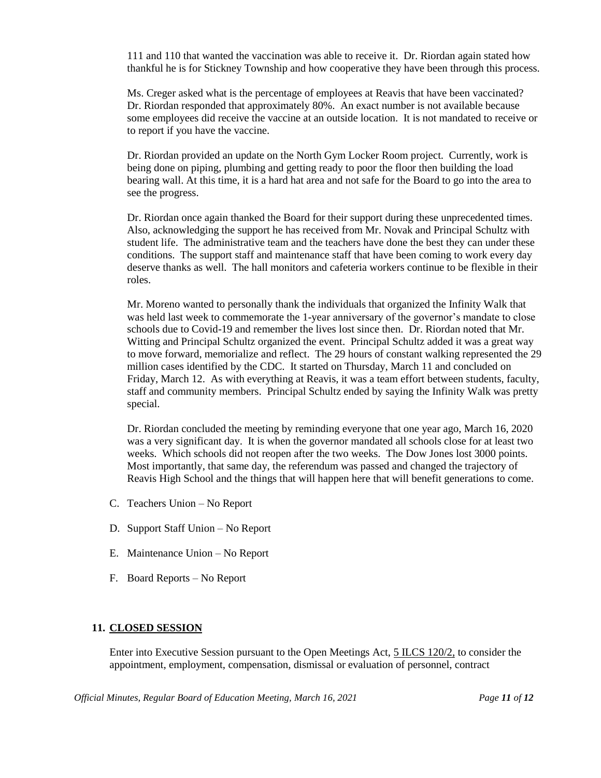111 and 110 that wanted the vaccination was able to receive it. Dr. Riordan again stated how thankful he is for Stickney Township and how cooperative they have been through this process.

Ms. Creger asked what is the percentage of employees at Reavis that have been vaccinated? Dr. Riordan responded that approximately 80%. An exact number is not available because some employees did receive the vaccine at an outside location. It is not mandated to receive or to report if you have the vaccine.

Dr. Riordan provided an update on the North Gym Locker Room project. Currently, work is being done on piping, plumbing and getting ready to poor the floor then building the load bearing wall. At this time, it is a hard hat area and not safe for the Board to go into the area to see the progress.

Dr. Riordan once again thanked the Board for their support during these unprecedented times. Also, acknowledging the support he has received from Mr. Novak and Principal Schultz with student life. The administrative team and the teachers have done the best they can under these conditions. The support staff and maintenance staff that have been coming to work every day deserve thanks as well. The hall monitors and cafeteria workers continue to be flexible in their roles.

Mr. Moreno wanted to personally thank the individuals that organized the Infinity Walk that was held last week to commemorate the 1-year anniversary of the governor's mandate to close schools due to Covid-19 and remember the lives lost since then. Dr. Riordan noted that Mr. Witting and Principal Schultz organized the event. Principal Schultz added it was a great way to move forward, memorialize and reflect. The 29 hours of constant walking represented the 29 million cases identified by the CDC. It started on Thursday, March 11 and concluded on Friday, March 12. As with everything at Reavis, it was a team effort between students, faculty, staff and community members. Principal Schultz ended by saying the Infinity Walk was pretty special.

Dr. Riordan concluded the meeting by reminding everyone that one year ago, March 16, 2020 was a very significant day. It is when the governor mandated all schools close for at least two weeks. Which schools did not reopen after the two weeks. The Dow Jones lost 3000 points. Most importantly, that same day, the referendum was passed and changed the trajectory of Reavis High School and the things that will happen here that will benefit generations to come.

- C. Teachers Union No Report
- D. Support Staff Union No Report
- E. Maintenance Union No Report
- F. Board Reports No Report

# **11. CLOSED SESSION**

Enter into Executive Session pursuant to the Open Meetings Act, 5 ILCS 120/2, to consider the appointment, employment, compensation, dismissal or evaluation of personnel, contract